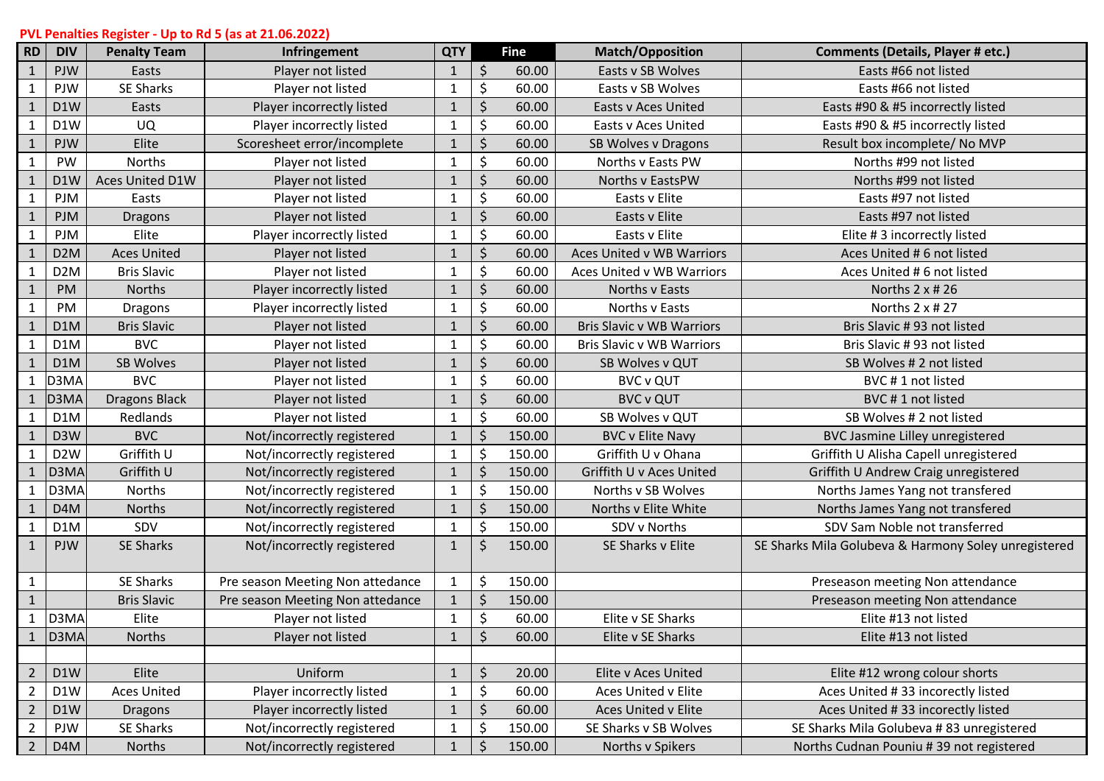## **PVL Penalties Register - Up to Rd 5 (as at 21.06.2022)**

| <b>RD</b>      | <b>DIV</b>        | <b>Penalty Team</b>  | Infringement                     | <b>QTY</b>   |    | <b>Fine</b> | <b>Match/Opposition</b>          | <b>Comments (Details, Player # etc.)</b>             |
|----------------|-------------------|----------------------|----------------------------------|--------------|----|-------------|----------------------------------|------------------------------------------------------|
| $\mathbf{1}$   | PJW               | Easts                | Player not listed                | $\mathbf{1}$ | \$ | 60.00       | Easts v SB Wolves                | Easts #66 not listed                                 |
| $\mathbf{1}$   | PJW               | SE Sharks            | Player not listed                | $\mathbf{1}$ | \$ | 60.00       | Easts v SB Wolves                | Easts #66 not listed                                 |
| $\mathbf{1}$   | D1W               | Easts                | Player incorrectly listed        | $\mathbf{1}$ | \$ | 60.00       | Easts v Aces United              | Easts #90 & #5 incorrectly listed                    |
| 1              | D1W               | <b>UQ</b>            | Player incorrectly listed        | $\mathbf{1}$ | \$ | 60.00       | Easts v Aces United              | Easts #90 & #5 incorrectly listed                    |
| $\mathbf{1}$   | <b>PJW</b>        | Elite                | Scoresheet error/incomplete      | $\mathbf{1}$ | \$ | 60.00       | SB Wolves v Dragons              | Result box incomplete/ No MVP                        |
| $\mathbf{1}$   | PW                | Norths               | Player not listed                | $\mathbf{1}$ | \$ | 60.00       | Norths v Easts PW                | Norths #99 not listed                                |
| $\mathbf{1}$   | D1W               | Aces United D1W      | Player not listed                | $\mathbf{1}$ | \$ | 60.00       | Norths v EastsPW                 | Norths #99 not listed                                |
| $\mathbf{1}$   | PJM               | Easts                | Player not listed                | $\mathbf{1}$ | \$ | 60.00       | Easts v Elite                    | Easts #97 not listed                                 |
| $\mathbf{1}$   | <b>PJM</b>        | <b>Dragons</b>       | Player not listed                | $\mathbf{1}$ | \$ | 60.00       | Easts v Elite                    | Easts #97 not listed                                 |
| 1              | PJM               | Elite                | Player incorrectly listed        | $\mathbf{1}$ | \$ | 60.00       | Easts v Elite                    | Elite #3 incorrectly listed                          |
| $\mathbf{1}$   | D <sub>2</sub> M  | <b>Aces United</b>   | Player not listed                | $\mathbf{1}$ | \$ | 60.00       | Aces United v WB Warriors        | Aces United # 6 not listed                           |
| $\mathbf{1}$   | D <sub>2</sub> M  | <b>Bris Slavic</b>   | Player not listed                | $\mathbf{1}$ | \$ | 60.00       | Aces United v WB Warriors        | Aces United # 6 not listed                           |
| $\mathbf{1}$   | PM                | Norths               | Player incorrectly listed        | $\mathbf{1}$ | \$ | 60.00       | Norths v Easts                   | Norths $2 \times # 26$                               |
| $\mathbf{1}$   | PM                | <b>Dragons</b>       | Player incorrectly listed        | $\mathbf{1}$ | \$ | 60.00       | Norths v Easts                   | Norths 2 x # 27                                      |
| $\mathbf{1}$   | D <sub>1</sub> M  | <b>Bris Slavic</b>   | Player not listed                | $\mathbf{1}$ | \$ | 60.00       | <b>Bris Slavic v WB Warriors</b> | Bris Slavic # 93 not listed                          |
| $\mathbf{1}$   | D1M               | <b>BVC</b>           | Player not listed                | $\mathbf{1}$ | \$ | 60.00       | <b>Bris Slavic v WB Warriors</b> | Bris Slavic # 93 not listed                          |
| $\mathbf{1}$   | D1M               | SB Wolves            | Player not listed                | $\mathbf{1}$ | \$ | 60.00       | SB Wolves v QUT                  | SB Wolves # 2 not listed                             |
|                | D3MA              | <b>BVC</b>           | Player not listed                | $\mathbf{1}$ | \$ | 60.00       | <b>BVC v QUT</b>                 | BVC#1 not listed                                     |
|                | D <sub>3</sub> MA | <b>Dragons Black</b> | Player not listed                | $\mathbf{1}$ | \$ | 60.00       | <b>BVC v QUT</b>                 | BVC#1 not listed                                     |
|                | D1M               | Redlands             | Player not listed                | $\mathbf{1}$ | \$ | 60.00       | SB Wolves v QUT                  | SB Wolves # 2 not listed                             |
|                | D <sub>3</sub> W  | <b>BVC</b>           | Not/incorrectly registered       | $\mathbf{1}$ | \$ | 150.00      | <b>BVC v Elite Navy</b>          | BVC Jasmine Lilley unregistered                      |
|                | D <sub>2</sub> W  | Griffith U           | Not/incorrectly registered       | $\mathbf{1}$ | \$ | 150.00      | Griffith U v Ohana               | Griffith U Alisha Capell unregistered                |
|                | D3MA              | Griffith U           | Not/incorrectly registered       | $\mathbf{1}$ | \$ | 150.00      | Griffith U v Aces United         | Griffith U Andrew Craig unregistered                 |
|                | D3MA              | Norths               | Not/incorrectly registered       | $\mathbf{1}$ | \$ | 150.00      | Norths v SB Wolves               | Norths James Yang not transfered                     |
| 1              | D <sub>4</sub> M  | Norths               | Not/incorrectly registered       | $\mathbf{1}$ | \$ | 150.00      | Norths v Elite White             | Norths James Yang not transfered                     |
| $\mathbf{1}$   | D1M               | SDV                  | Not/incorrectly registered       | $\mathbf{1}$ | \$ | 150.00      | SDV v Norths                     | SDV Sam Noble not transferred                        |
| $\mathbf{1}$   | <b>PJW</b>        | <b>SE Sharks</b>     | Not/incorrectly registered       | $\mathbf{1}$ | \$ | 150.00      | SE Sharks v Elite                | SE Sharks Mila Golubeva & Harmony Soley unregistered |
| $\mathbf{1}$   |                   | SE Sharks            | Pre season Meeting Non attedance | $\mathbf 1$  | \$ | 150.00      |                                  | Preseason meeting Non attendance                     |
| $\mathbf{1}$   |                   | <b>Bris Slavic</b>   | Pre season Meeting Non attedance | $\mathbf{1}$ | \$ | 150.00      |                                  | Preseason meeting Non attendance                     |
|                | D3MA              | Elite                | Player not listed                | $\mathbf 1$  | \$ | 60.00       | Elite v SE Sharks                | Elite #13 not listed                                 |
|                | D3MA              | <b>Norths</b>        | Player not listed                | 1            | S  | 60.00       | Elite v SE Sharks                | Elite #13 not listed                                 |
|                |                   |                      |                                  |              |    |             |                                  |                                                      |
| $2^{\circ}$    | D1W               | Elite                | Uniform                          | $\mathbf{1}$ | \$ | 20.00       | Elite v Aces United              | Elite #12 wrong colour shorts                        |
| $\overline{2}$ | D1W               | <b>Aces United</b>   | Player incorrectly listed        | $\mathbf 1$  | \$ | 60.00       | Aces United v Elite              | Aces United #33 incorectly listed                    |
| $\overline{2}$ | D1W               | Dragons              | Player incorrectly listed        | $\mathbf{1}$ | \$ | 60.00       | Aces United v Elite              | Aces United #33 incorectly listed                    |
| $\overline{2}$ | PJW               | SE Sharks            | Not/incorrectly registered       | $\mathbf{1}$ | \$ | 150.00      | SE Sharks v SB Wolves            | SE Sharks Mila Golubeva #83 unregistered             |
| $2^{\circ}$    | D <sub>4</sub> M  | Norths               | Not/incorrectly registered       | 1            | \$ | 150.00      | Norths v Spikers                 | Norths Cudnan Pouniu #39 not registered              |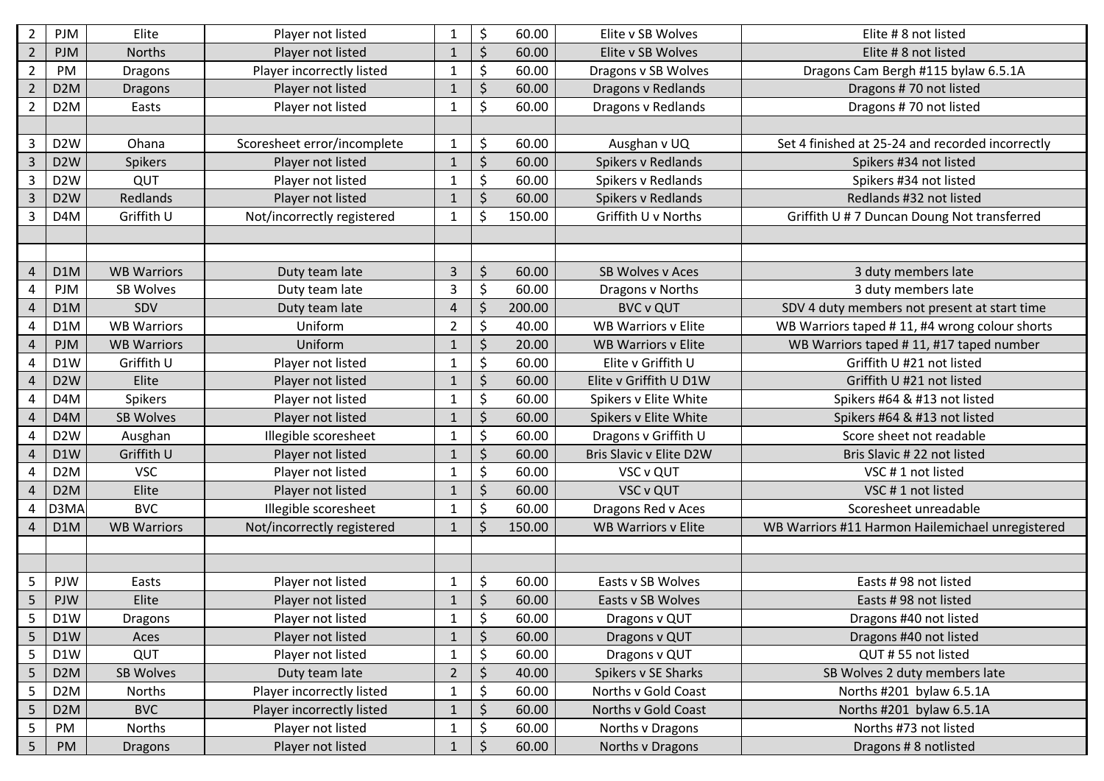| $\overline{2}$          | <b>PJM</b>       | Elite              | Player not listed           | $\mathbf 1$    | \$      | 60.00  | Elite v SB Wolves          | Elite #8 not listed                              |
|-------------------------|------------------|--------------------|-----------------------------|----------------|---------|--------|----------------------------|--------------------------------------------------|
| $\overline{2}$          | <b>PJM</b>       | <b>Norths</b>      | Player not listed           | $\mathbf{1}$   | $\zeta$ | 60.00  | Elite v SB Wolves          | Elite # 8 not listed                             |
| $\overline{2}$          | PM               | Dragons            | Player incorrectly listed   | $\mathbf{1}$   | \$      | 60.00  | Dragons v SB Wolves        | Dragons Cam Bergh #115 bylaw 6.5.1A              |
| $\overline{2}$          | D <sub>2</sub> M | <b>Dragons</b>     | Player not listed           | $\mathbf{1}$   | $\zeta$ | 60.00  | Dragons v Redlands         | Dragons #70 not listed                           |
| $\overline{2}$          | D <sub>2</sub> M | Easts              | Player not listed           | $\mathbf{1}$   | \$      | 60.00  | Dragons v Redlands         | Dragons #70 not listed                           |
|                         |                  |                    |                             |                |         |        |                            |                                                  |
| $\overline{3}$          | D <sub>2</sub> W | Ohana              | Scoresheet error/incomplete | $\mathbf 1$    | \$      | 60.00  | Ausghan v UQ               | Set 4 finished at 25-24 and recorded incorrectly |
| $\overline{3}$          | D <sub>2</sub> W | Spikers            | Player not listed           | $\mathbf{1}$   | $\zeta$ | 60.00  | Spikers v Redlands         | Spikers #34 not listed                           |
| $\overline{3}$          | D <sub>2</sub> W | QUT                | Player not listed           | $\mathbf{1}$   | \$      | 60.00  | Spikers v Redlands         | Spikers #34 not listed                           |
| $\overline{\mathbf{3}}$ | D <sub>2</sub> W | Redlands           | Player not listed           | $\mathbf{1}$   | \$      | 60.00  | Spikers v Redlands         | Redlands #32 not listed                          |
| $\overline{3}$          | D <sub>4</sub> M | Griffith U         | Not/incorrectly registered  | $\mathbf{1}$   | $\zeta$ | 150.00 | Griffith U v Norths        | Griffith U #7 Duncan Doung Not transferred       |
|                         |                  |                    |                             |                |         |        |                            |                                                  |
|                         |                  |                    |                             |                |         |        |                            |                                                  |
| $\overline{4}$          | D <sub>1</sub> M | <b>WB Warriors</b> | Duty team late              | $\overline{3}$ | $\zeta$ | 60.00  | SB Wolves v Aces           | 3 duty members late                              |
| 4                       | <b>PJM</b>       | <b>SB Wolves</b>   | Duty team late              | 3              | \$      | 60.00  | Dragons v Norths           | 3 duty members late                              |
| $\overline{4}$          |                  | SDV                |                             |                | $\zeta$ | 200.00 | <b>BVC v QUT</b>           |                                                  |
|                         | D <sub>1</sub> M | <b>WB Warriors</b> | Duty team late              | $\overline{a}$ |         |        | <b>WB Warriors v Elite</b> | SDV 4 duty members not present at start time     |
| 4                       | D1M              |                    | Uniform                     | $\overline{2}$ | \$      | 40.00  |                            | WB Warriors taped #11, #4 wrong colour shorts    |
| $\sqrt{4}$              | <b>PJM</b>       | <b>WB Warriors</b> | Uniform                     | $\mathbf{1}$   | \$      | 20.00  | <b>WB Warriors v Elite</b> | WB Warriors taped #11, #17 taped number          |
| 4                       | D1W              | Griffith U         | Player not listed           | $\mathbf{1}$   | \$      | 60.00  | Elite v Griffith U         | Griffith U #21 not listed                        |
| $\overline{4}$          | D <sub>2</sub> W | Elite              | Player not listed           | $\mathbf{1}$   | \$      | 60.00  | Elite v Griffith U D1W     | Griffith U #21 not listed                        |
| 4                       | D <sub>4</sub> M | Spikers            | Player not listed           | $\mathbf{1}$   | \$      | 60.00  | Spikers v Elite White      | Spikers #64 & #13 not listed                     |
| $\overline{4}$          | D <sub>4</sub> M | <b>SB Wolves</b>   | Player not listed           | $\mathbf{1}$   | \$      | 60.00  | Spikers v Elite White      | Spikers #64 & #13 not listed                     |
| $\overline{\mathbf{4}}$ | D <sub>2</sub> W | Ausghan            | Illegible scoresheet        | $\mathbf{1}$   | \$      | 60.00  | Dragons v Griffith U       | Score sheet not readable                         |
| $\overline{4}$          | D1W              | Griffith U         | Player not listed           | $\mathbf{1}$   | \$      | 60.00  | Bris Slavic v Elite D2W    | Bris Slavic # 22 not listed                      |
| 4                       | D <sub>2</sub> M | <b>VSC</b>         | Player not listed           | $\mathbf 1$    | \$      | 60.00  | VSC v QUT                  | VSC #1 not listed                                |
| $\overline{4}$          | D <sub>2</sub> M | Elite              | Player not listed           | $\mathbf{1}$   | \$      | 60.00  | <b>VSC v QUT</b>           | VSC #1 not listed                                |
| 4                       | D3MA             | <b>BVC</b>         | Illegible scoresheet        | $\mathbf{1}$   | \$      | 60.00  | Dragons Red v Aces         | Scoresheet unreadable                            |
| 4                       | D <sub>1</sub> M | <b>WB Warriors</b> | Not/incorrectly registered  | $\mathbf{1}$   | \$      | 150.00 | <b>WB Warriors v Elite</b> | WB Warriors #11 Harmon Hailemichael unregistered |
|                         |                  |                    |                             |                |         |        |                            |                                                  |
|                         |                  |                    |                             |                |         |        |                            |                                                  |
| 5                       | PJW              | Easts              | Player not listed           | $\mathbf 1$    | \$      | 60.00  | Easts v SB Wolves          | Easts #98 not listed                             |
| 5                       | PJW              | Elite              | Player not listed           | $\mathbf{1}$   | $\zeta$ | 60.00  | Easts v SB Wolves          | Easts #98 not listed                             |
| 5                       | D1W              | Dragons            | Player not listed           | $\mathbf{1}$   | \$      | 60.00  | Dragons v QUT              | Dragons #40 not listed                           |
| 5                       | D1W              | Aces               | Player not listed           | $\mathbf{1}$   | \$      | 60.00  | Dragons v QUT              | Dragons #40 not listed                           |
| 5                       | D1W              | QUT                | Player not listed           | $\mathbf{1}$   | \$      | 60.00  | Dragons v QUT              | QUT #55 not listed                               |
| 5                       | D <sub>2</sub> M | SB Wolves          | Duty team late              | $\overline{2}$ | \$      | 40.00  | Spikers v SE Sharks        | SB Wolves 2 duty members late                    |
| 5                       | D <sub>2</sub> M | Norths             | Player incorrectly listed   | $\mathbf 1$    | \$      | 60.00  | Norths v Gold Coast        | Norths #201 bylaw 6.5.1A                         |
| 5                       | D <sub>2</sub> M | <b>BVC</b>         | Player incorrectly listed   | $\mathbf{1}$   | \$      | 60.00  | Norths v Gold Coast        | Norths #201 bylaw 6.5.1A                         |
| 5                       | PM               | Norths             | Player not listed           | $\mathbf{1}$   | \$      | 60.00  | Norths v Dragons           | Norths #73 not listed                            |
| $\overline{5}$          | PM               | <b>Dragons</b>     | Player not listed           | $\mathbf{1}$   | \$      | 60.00  | Norths v Dragons           | Dragons # 8 notlisted                            |